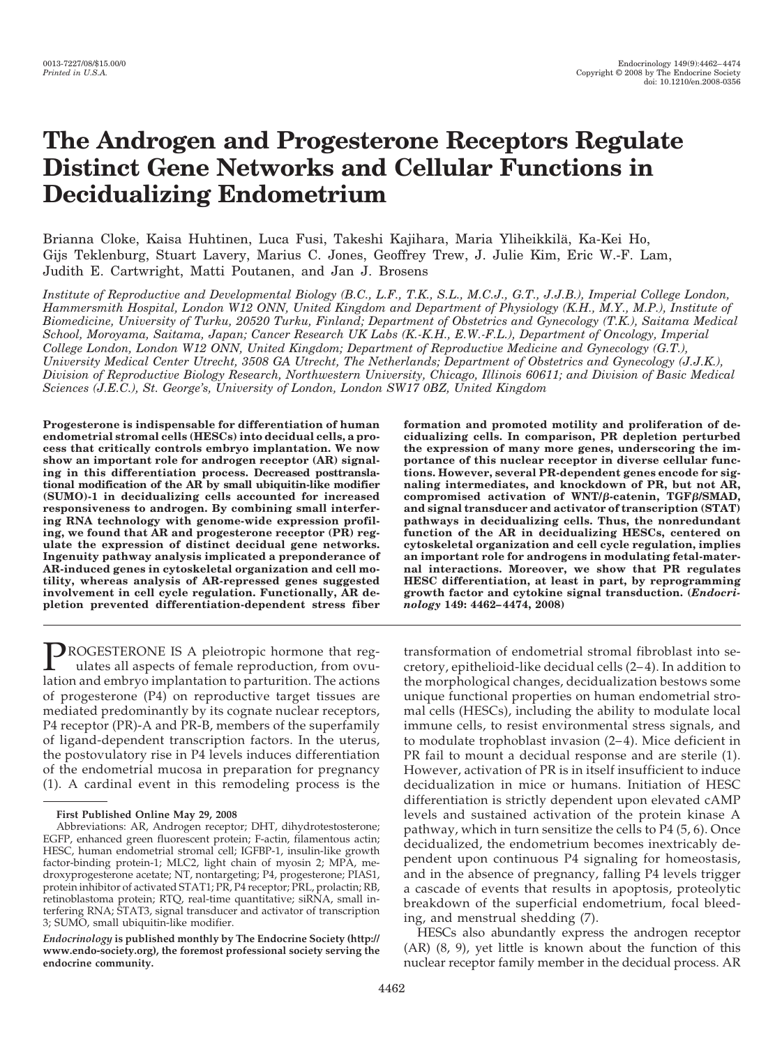# **The Androgen and Progesterone Receptors Regulate Distinct Gene Networks and Cellular Functions in Decidualizing Endometrium**

Brianna Cloke, Kaisa Huhtinen, Luca Fusi, Takeshi Kajihara, Maria Yliheikkilä, Ka-Kei Ho, Gijs Teklenburg, Stuart Lavery, Marius C. Jones, Geoffrey Trew, J. Julie Kim, Eric W.-F. Lam, Judith E. Cartwright, Matti Poutanen, and Jan J. Brosens

*Institute of Reproductive and Developmental Biology (B.C., L.F., T.K., S.L., M.C.J., G.T., J.J.B.), Imperial College London, Hammersmith Hospital, London W12 ONN, United Kingdom and Department of Physiology (K.H., M.Y., M.P.), Institute of Biomedicine, University of Turku, 20520 Turku, Finland; Department of Obstetrics and Gynecology (T.K.), Saitama Medical School, Moroyama, Saitama, Japan; Cancer Research UK Labs (K.-K.H., E.W.-F.L.), Department of Oncology, Imperial College London, London W12 ONN, United Kingdom; Department of Reproductive Medicine and Gynecology (G.T.), University Medical Center Utrecht, 3508 GA Utrecht, The Netherlands; Department of Obstetrics and Gynecology (J.J.K.), Division of Reproductive Biology Research, Northwestern University, Chicago, Illinois 60611; and Division of Basic Medical Sciences (J.E.C.), St. George's, University of London, London SW17 0BZ, United Kingdom*

**Progesterone is indispensable for differentiation of human endometrial stromal cells (HESCs) into decidual cells, a process that critically controls embryo implantation. We now show an important role for androgen receptor (AR) signaling in this differentiation process. Decreased posttranslational modification of the AR by small ubiquitin-like modifier (SUMO)-1 in decidualizing cells accounted for increased responsiveness to androgen. By combining small interfering RNA technology with genome-wide expression profiling, we found that AR and progesterone receptor (PR) regulate the expression of distinct decidual gene networks. Ingenuity pathway analysis implicated a preponderance of AR-induced genes in cytoskeletal organization and cell motility, whereas analysis of AR-repressed genes suggested involvement in cell cycle regulation. Functionally, AR depletion prevented differentiation-dependent stress fiber**

PROGESTERONE IS A pleiotropic hormone that regulates all aspects of female reproduction, from ovulation and embryo implantation to parturition. The actions of progesterone (P4) on reproductive target tissues are mediated predominantly by its cognate nuclear receptors, P4 receptor (PR)-A and PR-B, members of the superfamily of ligand-dependent transcription factors. In the uterus, the postovulatory rise in P4 levels induces differentiation of the endometrial mucosa in preparation for pregnancy (1). A cardinal event in this remodeling process is the

*Endocrinology* **is published monthly by The Endocrine Society (http:// www.endo-society.org), the foremost professional society serving the endocrine community.**

**formation and promoted motility and proliferation of decidualizing cells. In comparison, PR depletion perturbed the expression of many more genes, underscoring the importance of this nuclear receptor in diverse cellular functions. However, several PR-dependent genes encode for signaling intermediates, and knockdown of PR, but not AR, compromised activation of WNT/-catenin, TGF/SMAD, and signal transducer and activator of transcription (STAT) pathways in decidualizing cells. Thus, the nonredundant function of the AR in decidualizing HESCs, centered on cytoskeletal organization and cell cycle regulation, implies an important role for androgens in modulating fetal-maternal interactions. Moreover, we show that PR regulates HESC differentiation, at least in part, by reprogramming growth factor and cytokine signal transduction. (***Endocrinology* **149: 4462– 4474, 2008)**

transformation of endometrial stromal fibroblast into secretory, epithelioid-like decidual cells (2– 4). In addition to the morphological changes, decidualization bestows some unique functional properties on human endometrial stromal cells (HESCs), including the ability to modulate local immune cells, to resist environmental stress signals, and to modulate trophoblast invasion (2–4). Mice deficient in PR fail to mount a decidual response and are sterile (1). However, activation of PR is in itself insufficient to induce decidualization in mice or humans. Initiation of HESC differentiation is strictly dependent upon elevated cAMP levels and sustained activation of the protein kinase A pathway, which in turn sensitize the cells to P4 (5, 6). Once decidualized, the endometrium becomes inextricably dependent upon continuous P4 signaling for homeostasis, and in the absence of pregnancy, falling P4 levels trigger a cascade of events that results in apoptosis, proteolytic breakdown of the superficial endometrium, focal bleeding, and menstrual shedding (7).

HESCs also abundantly express the androgen receptor (AR) (8, 9), yet little is known about the function of this nuclear receptor family member in the decidual process. AR

**First Published Online May 29, 2008**

Abbreviations: AR, Androgen receptor; DHT, dihydrotestosterone; EGFP, enhanced green fluorescent protein; F-actin, filamentous actin; HESC, human endometrial stromal cell; IGFBP-1, insulin-like growth factor-binding protein-1; MLC2, light chain of myosin 2; MPA, medroxyprogesterone acetate; NT, nontargeting; P4, progesterone; PIAS1, protein inhibitor of activated STAT1; PR, P4 receptor; PRL, prolactin; RB, retinoblastoma protein; RTQ, real-time quantitative; siRNA, small interfering RNA; STAT3, signal transducer and activator of transcription 3; SUMO, small ubiquitin-like modifier.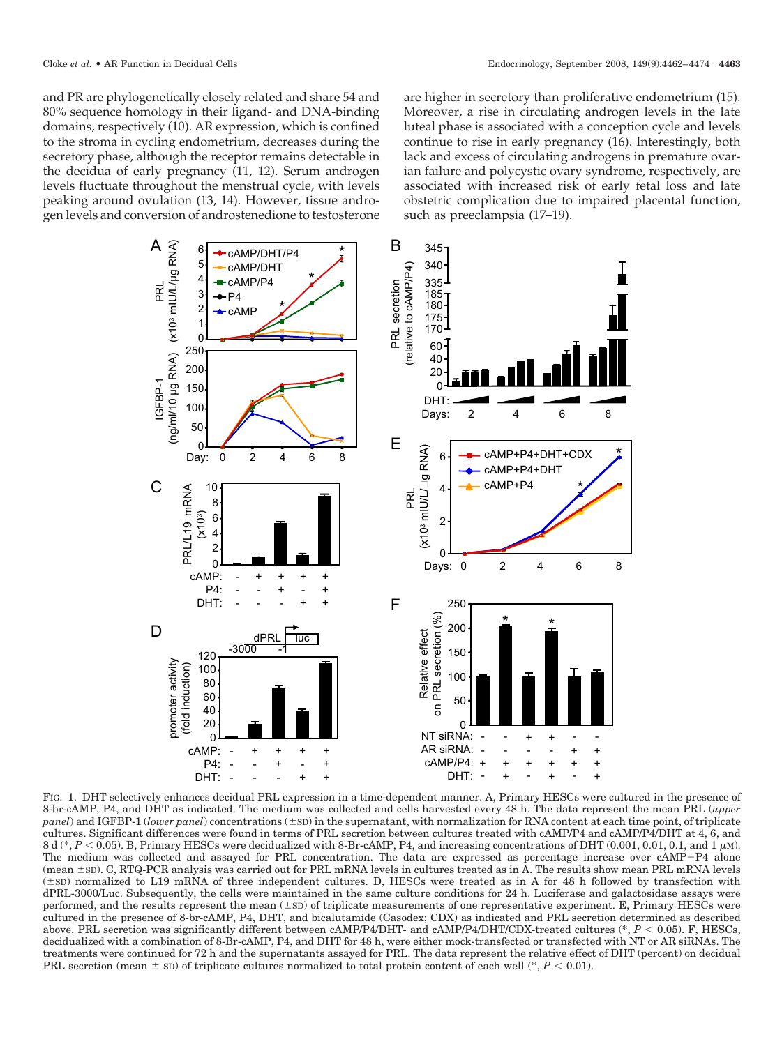and PR are phylogenetically closely related and share 54 and 80% sequence homology in their ligand- and DNA-binding domains, respectively (10). AR expression, which is confined to the stroma in cycling endometrium, decreases during the secretory phase, although the receptor remains detectable in the decidua of early pregnancy (11, 12). Serum androgen levels fluctuate throughout the menstrual cycle, with levels peaking around ovulation (13, 14). However, tissue androgen levels and conversion of androstenedione to testosterone are higher in secretory than proliferative endometrium (15). Moreover, a rise in circulating androgen levels in the late luteal phase is associated with a conception cycle and levels continue to rise in early pregnancy (16). Interestingly, both lack and excess of circulating androgens in premature ovarian failure and polycystic ovary syndrome, respectively, are associated with increased risk of early fetal loss and late obstetric complication due to impaired placental function, such as preeclampsia (17–19).



FIG. 1. DHT selectively enhances decidual PRL expression in a time-dependent manner. A, Primary HESCs were cultured in the presence of 8-br-cAMP, P4, and DHT as indicated. The medium was collected and cells harvested every 48 h. The data represent the mean PRL (*upper panel*) and IGFBP-1 (*lower panel*) concentrations ( $\pm$ sD) in the supernatant, with normalization for RNA content at each time point, of triplicate cultures. Significant differences were found in terms of PRL secretion between cultures treated with cAMP/P4 and cAMP/P4/DHT at 4, 6, and  $8$  d (\*,  $P < 0.05$ ). B, Primary HESCs were decidualized with 8-Br-cAMP, P4, and increasing concentrations of DHT (0.001, 0.01, 0.1, and 1  $\mu$ m). The medium was collected and assayed for PRL concentration. The data are expressed as percentage increase over cAMP+P4 alone (mean  $\pm$ SD). C, RTQ-PCR analysis was carried out for PRL mRNA levels in cultures treated as in A. The results show mean PRL mRNA levels  $(\pm$ SD) normalized to L19 mRNA of three independent cultures. D, HESCs were treated as in A for 48 h followed by transfection with dPRL-3000/Luc. Subsequently, the cells were maintained in the same culture conditions for 24 h. Luciferase and galactosidase assays were performed, and the results represent the mean  $(\pm sD)$  of triplicate measurements of one representative experiment. E, Primary HESCs were cultured in the presence of 8-br-cAMP, P4, DHT, and bicalutamide (Casodex; CDX) as indicated and PRL secretion determined as described above. PRL secretion was significantly different between cAMP/P4/DHT- and cAMP/P4/DHT/CDX-treated cultures (\*, *P* < 0.05). F, HESCs, decidualized with a combination of 8-Br-cAMP, P4, and DHT for 48 h, were either mock-transfected or transfected with NT or AR siRNAs. The treatments were continued for 72 h and the supernatants assayed for PRL. The data represent the relative effect of DHT (percent) on decidual PRL secretion (mean  $\pm$  sD) of triplicate cultures normalized to total protein content of each well (\*,  $P < 0.01$ ).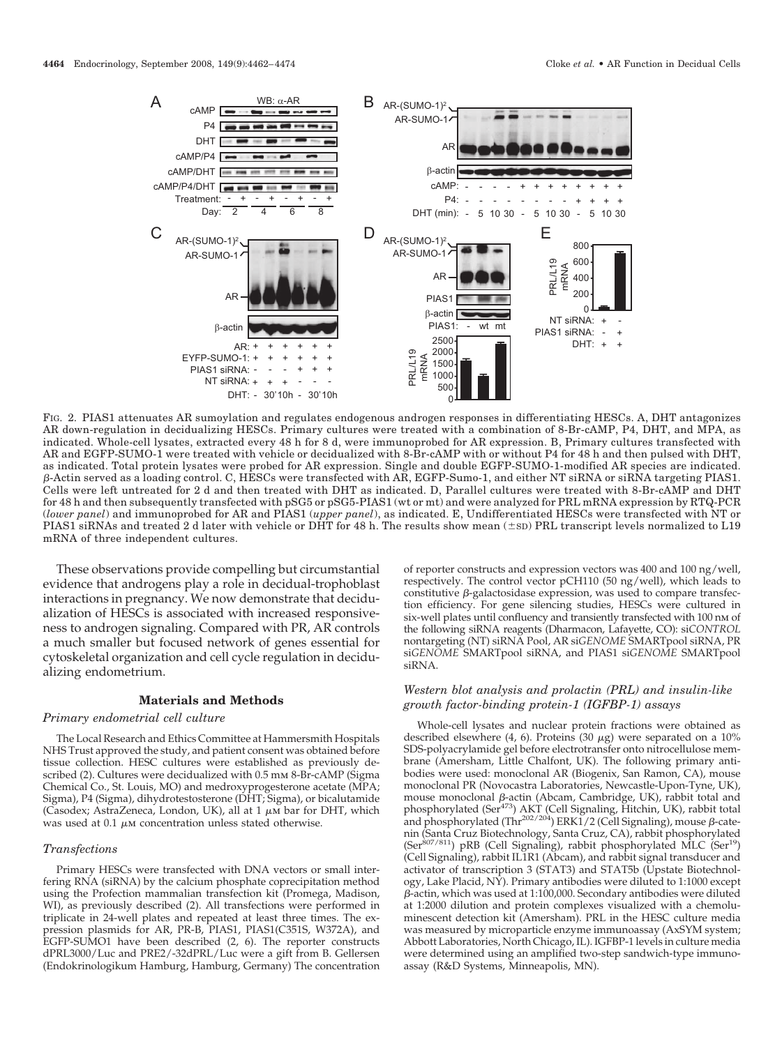

FIG. 2. PIAS1 attenuates AR sumoylation and regulates endogenous androgen responses in differentiating HESCs. A, DHT antagonizes AR down-regulation in decidualizing HESCs. Primary cultures were treated with a combination of 8-Br-cAMP, P4, DHT, and MPA, as indicated. Whole-cell lysates, extracted every 48 h for 8 d, were immunoprobed for AR expression. B, Primary cultures transfected with AR and EGFP-SUMO-1 were treated with vehicle or decidualized with 8-Br-cAMP with or without P4 for 48 h and then pulsed with DHT, as indicated. Total protein lysates were probed for AR expression. Single and double EGFP-SUMO-1-modified AR species are indicated. β-Actin served as a loading control. C, HESCs were transfected with AR, EGFP-Sumo-1, and either NT siRNA or siRNA targeting PIAS1. Cells were left untreated for 2 d and then treated with DHT as indicated. D, Parallel cultures were treated with 8-Br-cAMP and DHT for 48 h and then subsequently transfected with pSG5 or pSG5-PIAS1 (wt or mt) and were analyzed for PRL mRNA expression by RTQ-PCR (*lower panel*) and immunoprobed for AR and PIAS1 (*upper panel*), as indicated. E, Undifferentiated HESCs were transfected with NT or PIAS1 siRNAs and treated 2 d later with vehicle or DHT for 48 h. The results show mean  $(\pm sD)$  PRL transcript levels normalized to L19 mRNA of three independent cultures.

These observations provide compelling but circumstantial evidence that androgens play a role in decidual-trophoblast interactions in pregnancy. We now demonstrate that decidualization of HESCs is associated with increased responsiveness to androgen signaling. Compared with PR, AR controls a much smaller but focused network of genes essential for cytoskeletal organization and cell cycle regulation in decidualizing endometrium.

#### **Materials and Methods**

#### *Primary endometrial cell culture*

The Local Research and Ethics Committee at Hammersmith Hospitals NHS Trust approved the study, and patient consent was obtained before tissue collection. HESC cultures were established as previously described (2). Cultures were decidualized with 0.5 mm 8-Br-cAMP (Sigma Chemical Co., St. Louis, MO) and medroxyprogesterone acetate (MPA; Sigma), P4 (Sigma), dihydrotestosterone (DHT; Sigma), or bicalutamide (Casodex; AstraZeneca, London, UK), all at  $1 \mu$ M bar for DHT, which was used at 0.1  $\mu$ M concentration unless stated otherwise.

#### *Transfections*

Primary HESCs were transfected with DNA vectors or small interfering RNA (siRNA) by the calcium phosphate coprecipitation method using the Profection mammalian transfection kit (Promega, Madison, WI), as previously described (2). All transfections were performed in triplicate in 24-well plates and repeated at least three times. The expression plasmids for AR, PR-B, PIAS1, PIAS1(C351S, W372A), and EGFP-SUMO1 have been described (2, 6). The reporter constructs dPRL3000/Luc and PRE2/-32dPRL/Luc were a gift from B. Gellersen (Endokrinologikum Hamburg, Hamburg, Germany) The concentration

of reporter constructs and expression vectors was 400 and 100 ng/well, respectively. The control vector pCH110 (50 ng/well), which leads to constitutive  $\beta$ -galactosidase expression, was used to compare transfection efficiency. For gene silencing studies, HESCs were cultured in six-well plates until confluency and transiently transfected with 100 nm of the following siRNA reagents (Dharmacon, Lafayette, CO): si*CONTROL* nontargeting (NT) siRNA Pool, AR si*GENOME* SMARTpool siRNA, PR si*GENOME* SMARTpool siRNA, and PIAS1 si*GENOME* SMARTpool siRNA.

## *Western blot analysis and prolactin (PRL) and insulin-like growth factor-binding protein-1 (IGFBP-1) assays*

Whole-cell lysates and nuclear protein fractions were obtained as described elsewhere (4, 6). Proteins (30  $\mu$ g) were separated on a 10% SDS-polyacrylamide gel before electrotransfer onto nitrocellulose membrane (Amersham, Little Chalfont, UK). The following primary antibodies were used: monoclonal AR (Biogenix, San Ramon, CA), mouse monoclonal PR (Novocastra Laboratories, Newcastle-Upon-Tyne, UK), mouse monoclonal  $\beta$ -actin (Abcam, Cambridge, UK), rabbit total and phosphorylated (Ser<sup>473</sup>) AKT (Cell Signaling, Hitchin, UK), rabbit total and phosphorylated (Thr<sup>202/204</sup>) ERK1/2 (Cell Signaling), mouse  $\beta$ -catenin (Santa Cruz Biotechnology, Santa Cruz, CA), rabbit phosphorylated (Ser<sup>807/811</sup>) pRB (Cell Signaling), rabbit phosphorylated MLC (Ser<sup>19</sup>) (Cell Signaling), rabbit IL1R1 (Abcam), and rabbit signal transducer and activator of transcription 3 (STAT3) and STAT5b (Upstate Biotechnology, Lake Placid, NY). Primary antibodies were diluted to 1:1000 except  $\beta$ -actin, which was used at 1:100,000. Secondary antibodies were diluted at 1:2000 dilution and protein complexes visualized with a chemoluminescent detection kit (Amersham). PRL in the HESC culture media was measured by microparticle enzyme immunoassay (AxSYM system; Abbott Laboratories, North Chicago, IL). IGFBP-1 levels in culture media were determined using an amplified two-step sandwich-type immunoassay (R&D Systems, Minneapolis, MN).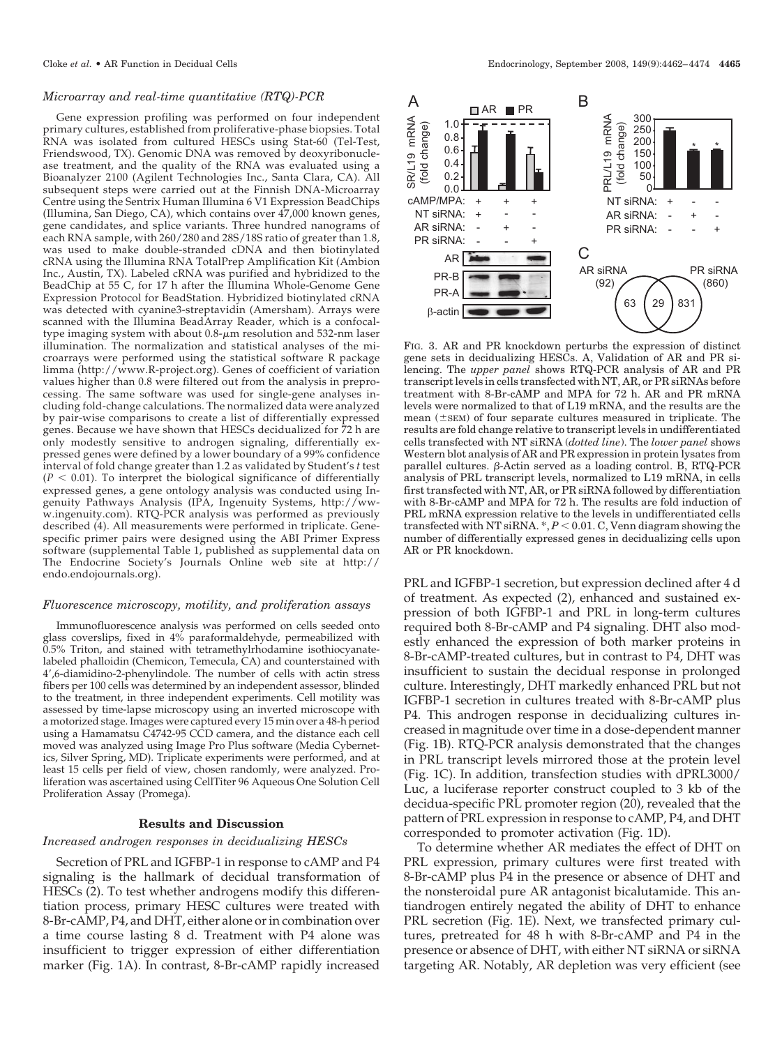## *Microarray and real-time quantitative (RTQ)-PCR*

Gene expression profiling was performed on four independent primary cultures, established from proliferative-phase biopsies. Total RNA was isolated from cultured HESCs using Stat-60 (Tel-Test, Friendswood, TX). Genomic DNA was removed by deoxyribonuclease treatment, and the quality of the RNA was evaluated using a Bioanalyzer 2100 (Agilent Technologies Inc., Santa Clara, CA). All subsequent steps were carried out at the Finnish DNA-Microarray Centre using the Sentrix Human Illumina 6 V1 Expression BeadChips (Illumina, San Diego, CA), which contains over 47,000 known genes, gene candidates, and splice variants. Three hundred nanograms of each RNA sample, with 260/280 and 28S/18S ratio of greater than 1.8, was used to make double-stranded cDNA and then biotinylated cRNA using the Illumina RNA TotalPrep Amplification Kit (Ambion Inc., Austin, TX). Labeled cRNA was purified and hybridized to the BeadChip at 55 C, for 17 h after the Illumina Whole-Genome Gene Expression Protocol for BeadStation. Hybridized biotinylated cRNA was detected with cyanine3-streptavidin (Amersham). Arrays were scanned with the Illumina BeadArray Reader, which is a confocaltype imaging system with about  $0.8$ - $\mu$ m resolution and 532-nm laser illumination. The normalization and statistical analyses of the microarrays were performed using the statistical software R package limma (http://www.R-project.org). Genes of coefficient of variation values higher than 0.8 were filtered out from the analysis in preprocessing. The same software was used for single-gene analyses including fold-change calculations. The normalized data were analyzed by pair-wise comparisons to create a list of differentially expressed genes. Because we have shown that HESCs decidualized for 72 h are only modestly sensitive to androgen signaling, differentially expressed genes were defined by a lower boundary of a 99% confidence interval of fold change greater than 1.2 as validated by Student's *t* test  $(P < 0.01)$ . To interpret the biological significance of differentially expressed genes, a gene ontology analysis was conducted using Ingenuity Pathways Analysis (IPA, Ingenuity Systems, http://www.ingenuity.com). RTQ-PCR analysis was performed as previously described (4). All measurements were performed in triplicate. Genespecific primer pairs were designed using the ABI Primer Express software (supplemental Table 1, published as supplemental data on The Endocrine Society's Journals Online web site at http:// endo.endojournals.org).

#### *Fluorescence microscopy, motility, and proliferation assays*

Immunofluorescence analysis was performed on cells seeded onto glass coverslips, fixed in 4% paraformaldehyde, permeabilized with 0.5% Triton, and stained with tetramethylrhodamine isothiocyanatelabeled phalloidin (Chemicon, Temecula, CA) and counterstained with 4,6-diamidino-2-phenylindole. The number of cells with actin stress fibers per 100 cells was determined by an independent assessor, blinded to the treatment, in three independent experiments. Cell motility was assessed by time-lapse microscopy using an inverted microscope with a motorized stage. Images were captured every 15 min over a 48-h period using a Hamamatsu C4742-95 CCD camera, and the distance each cell moved was analyzed using Image Pro Plus software (Media Cybernetics, Silver Spring, MD). Triplicate experiments were performed, and at least 15 cells per field of view, chosen randomly, were analyzed. Proliferation was ascertained using CellTiter 96 Aqueous One Solution Cell Proliferation Assay (Promega).

## **Results and Discussion**

## *Increased androgen responses in decidualizing HESCs*

Secretion of PRL and IGFBP-1 in response to cAMP and P4 signaling is the hallmark of decidual transformation of HESCs (2). To test whether androgens modify this differentiation process, primary HESC cultures were treated with 8-Br-cAMP, P4, and DHT, either alone or in combination over a time course lasting 8 d. Treatment with P4 alone was insufficient to trigger expression of either differentiation marker (Fig. 1A). In contrast, 8-Br-cAMP rapidly increased



FIG. 3. AR and PR knockdown perturbs the expression of distinct gene sets in decidualizing HESCs. A, Validation of AR and PR silencing. The *upper panel* shows RTQ-PCR analysis of AR and PR transcript levels in cells transfected with NT, AR, or PR siRNAs before treatment with 8-Br-cAMP and MPA for 72 h. AR and PR mRNA levels were normalized to that of L19 mRNA, and the results are the mean  $(\pm sEM)$  of four separate cultures measured in triplicate. The results are fold change relative to transcript levels in undifferentiated cells transfected with NT siRNA (*dotted line*). The *lower panel* shows Western blot analysis of AR and PR expression in protein lysates from parallel cultures.  $\beta$ -Actin served as a loading control. B, RTQ-PCR analysis of PRL transcript levels, normalized to L19 mRNA, in cells first transfected with NT, AR, or PR siRNA followed by differentiation with 8-Br-cAMP and MPA for 72 h. The results are fold induction of PRL mRNA expression relative to the levels in undifferentiated cells  $transfected with NT siRNA. *, P < 0.01. C, Venn diagram showing the$ number of differentially expressed genes in decidualizing cells upon AR or PR knockdown.

PRL and IGFBP-1 secretion, but expression declined after 4 d of treatment. As expected (2), enhanced and sustained expression of both IGFBP-1 and PRL in long-term cultures required both 8-Br-cAMP and P4 signaling. DHT also modestly enhanced the expression of both marker proteins in 8-Br-cAMP-treated cultures, but in contrast to P4, DHT was insufficient to sustain the decidual response in prolonged culture. Interestingly, DHT markedly enhanced PRL but not IGFBP-1 secretion in cultures treated with 8-Br-cAMP plus P4. This androgen response in decidualizing cultures increased in magnitude over time in a dose-dependent manner (Fig. 1B). RTQ-PCR analysis demonstrated that the changes in PRL transcript levels mirrored those at the protein level (Fig. 1C). In addition, transfection studies with dPRL3000/ Luc, a luciferase reporter construct coupled to 3 kb of the decidua-specific PRL promoter region (20), revealed that the pattern of PRL expression in response to cAMP, P4, and DHT corresponded to promoter activation (Fig. 1D).

To determine whether AR mediates the effect of DHT on PRL expression, primary cultures were first treated with 8-Br-cAMP plus P4 in the presence or absence of DHT and the nonsteroidal pure AR antagonist bicalutamide. This antiandrogen entirely negated the ability of DHT to enhance PRL secretion (Fig. 1E). Next, we transfected primary cultures, pretreated for 48 h with 8-Br-cAMP and P4 in the presence or absence of DHT, with either NT siRNA or siRNA targeting AR. Notably, AR depletion was very efficient (see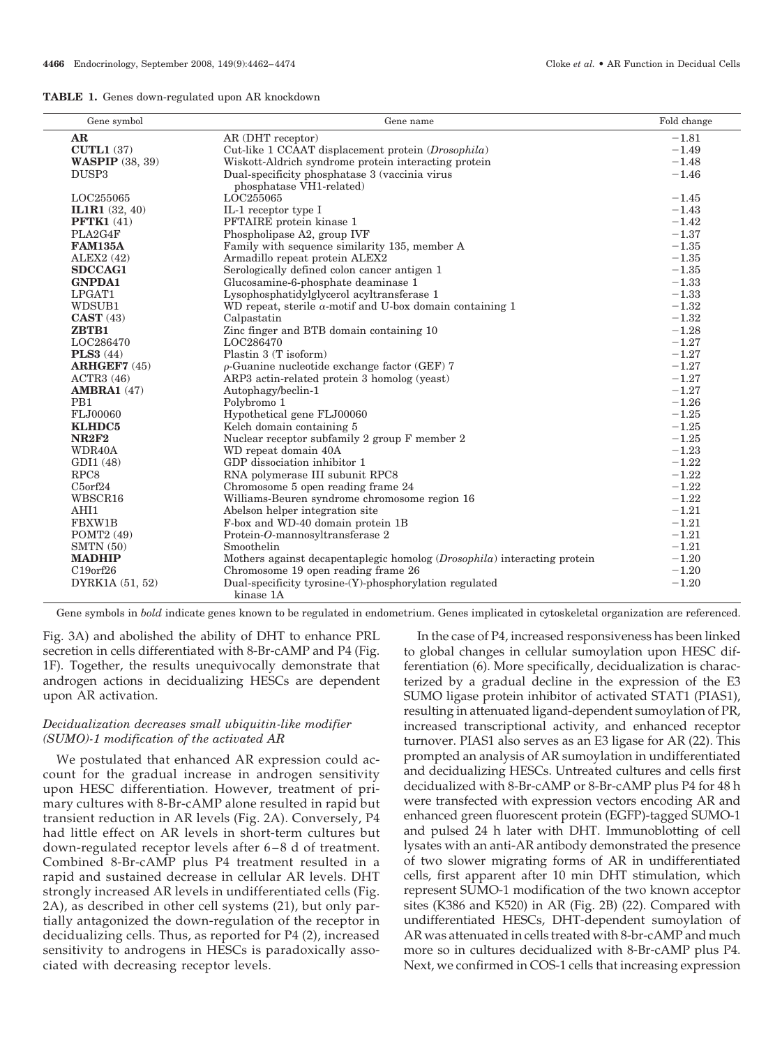|  |  | <b>TABLE 1.</b> Genes down-regulated upon AR knockdown |  |  |
|--|--|--------------------------------------------------------|--|--|
|--|--|--------------------------------------------------------|--|--|

| Gene symbol             | Gene name                                                                         | Fold change |
|-------------------------|-----------------------------------------------------------------------------------|-------------|
| AR                      | AR (DHT receptor)                                                                 | $-1.81$     |
| <b>CUTL1 (37)</b>       | Cut-like 1 CCAAT displacement protein (Drosophila)                                | $-1.49$     |
| <b>WASPIP</b> (38, 39)  | Wiskott-Aldrich syndrome protein interacting protein                              | $-1.48$     |
| DUSP <sub>3</sub>       | Dual-specificity phosphatase 3 (vaccinia virus                                    | $-1.46$     |
|                         | phosphatase VH1-related)                                                          |             |
| LOC255065               | LOC255065                                                                         | $-1.45$     |
| <b>IL1R1</b> $(32, 40)$ | IL-1 receptor type I                                                              | $-1.43$     |
| <b>PFTK1 (41)</b>       | PFTAIRE protein kinase 1                                                          | $-1.42$     |
| PLA2G4F                 | Phospholipase A2, group IVF                                                       | $-1.37$     |
| <b>FAM135A</b>          | Family with sequence similarity 135, member A                                     | $-1.35$     |
| ALEX2(42)               | Armadillo repeat protein ALEX2                                                    | $-1.35$     |
| <b>SDCCAG1</b>          | Serologically defined colon cancer antigen 1                                      | $-1.35$     |
| <b>GNPDA1</b>           | Glucosamine-6-phosphate deaminase 1                                               | $-1.33$     |
| LPGAT1                  | Lysophosphatidylglycerol acyltransferase 1                                        | $-1.33$     |
| WDSUB1                  | WD repeat, sterile $\alpha$ -motif and U-box domain containing 1                  | $-1.32$     |
| CAST(43)                | Calpastatin                                                                       | $-1.32$     |
| ZBTB1                   | Zinc finger and BTB domain containing 10                                          | $-1.28$     |
| LOC286470               | LOC286470                                                                         | $-1.27$     |
| <b>PLS3</b> (44)        | Plastin 3 (T isoform)                                                             | $-1.27$     |
| <b>ARHGEF7 (45)</b>     | $\rho$ -Guanine nucleotide exchange factor (GEF) 7                                | $-1.27$     |
| ACTR3(46)               | ARP3 actin-related protein 3 homolog (yeast)                                      | $-1.27$     |
| <b>AMBRA1</b> (47)      | Autophagy/beclin-1                                                                | $-1.27$     |
| PB <sub>1</sub>         | Polybromo 1                                                                       | $-1.26$     |
| FLJ00060                | Hypothetical gene FLJ00060                                                        | $-1.25$     |
| <b>KLHDC5</b>           | Kelch domain containing 5                                                         | $-1.25$     |
| <b>NR2F2</b>            | Nuclear receptor subfamily 2 group F member 2                                     | $-1.25$     |
| WDR40A                  | WD repeat domain 40A                                                              | $-1.23$     |
| GDI1 (48)               | GDP dissociation inhibitor 1                                                      | $-1.22$     |
| RPC8                    | RNA polymerase III subunit RPC8                                                   | $-1.22$     |
| $C5$ orf $24$           | Chromosome 5 open reading frame 24                                                | $-1.22$     |
| WBSCR16                 | Williams-Beuren syndrome chromosome region 16                                     | $-1.22$     |
| AHI1                    | Abelson helper integration site                                                   | $-1.21$     |
| FBXW1B                  | F-box and WD-40 domain protein 1B                                                 | $-1.21$     |
| POMT2 (49)              | Protein-O-mannosyltransferase 2                                                   | $-1.21$     |
| SMTN(50)                | Smoothelin                                                                        | $-1.21$     |
| <b>MADHIP</b>           | Mothers against decapentaplegic homolog ( <i>Drosophila</i> ) interacting protein | $-1.20$     |
| $C19$ orf $26$          | Chromosome 19 open reading frame 26                                               | $-1.20$     |
| DYRK1A (51, 52)         | Dual-specificity tyrosine-(Y)-phosphorylation regulated<br>kinase 1A              | $-1.20$     |

Gene symbols in *bold* indicate genes known to be regulated in endometrium. Genes implicated in cytoskeletal organization are referenced.

Fig. 3A) and abolished the ability of DHT to enhance PRL secretion in cells differentiated with 8-Br-cAMP and P4 (Fig. 1F). Together, the results unequivocally demonstrate that androgen actions in decidualizing HESCs are dependent upon AR activation.

## *Decidualization decreases small ubiquitin-like modifier (SUMO)-1 modification of the activated AR*

We postulated that enhanced AR expression could account for the gradual increase in androgen sensitivity upon HESC differentiation. However, treatment of primary cultures with 8-Br-cAMP alone resulted in rapid but transient reduction in AR levels (Fig. 2A). Conversely, P4 had little effect on AR levels in short-term cultures but down-regulated receptor levels after 6 – 8 d of treatment. Combined 8-Br-cAMP plus P4 treatment resulted in a rapid and sustained decrease in cellular AR levels. DHT strongly increased AR levels in undifferentiated cells (Fig. 2A), as described in other cell systems (21), but only partially antagonized the down-regulation of the receptor in decidualizing cells. Thus, as reported for P4 (2), increased sensitivity to androgens in HESCs is paradoxically associated with decreasing receptor levels.

In the case of P4, increased responsiveness has been linked to global changes in cellular sumoylation upon HESC differentiation (6). More specifically, decidualization is characterized by a gradual decline in the expression of the E3 SUMO ligase protein inhibitor of activated STAT1 (PIAS1), resulting in attenuated ligand-dependent sumoylation of PR, increased transcriptional activity, and enhanced receptor turnover. PIAS1 also serves as an E3 ligase for AR (22). This prompted an analysis of AR sumoylation in undifferentiated and decidualizing HESCs. Untreated cultures and cells first decidualized with 8-Br-cAMP or 8-Br-cAMP plus P4 for 48 h were transfected with expression vectors encoding AR and enhanced green fluorescent protein (EGFP)-tagged SUMO-1 and pulsed 24 h later with DHT. Immunoblotting of cell lysates with an anti-AR antibody demonstrated the presence of two slower migrating forms of AR in undifferentiated cells, first apparent after 10 min DHT stimulation, which represent SUMO-1 modification of the two known acceptor sites (K386 and K520) in AR (Fig. 2B) (22). Compared with undifferentiated HESCs, DHT-dependent sumoylation of AR was attenuated in cells treated with 8-br-cAMP and much more so in cultures decidualized with 8-Br-cAMP plus P4. Next, we confirmed in COS-1 cells that increasing expression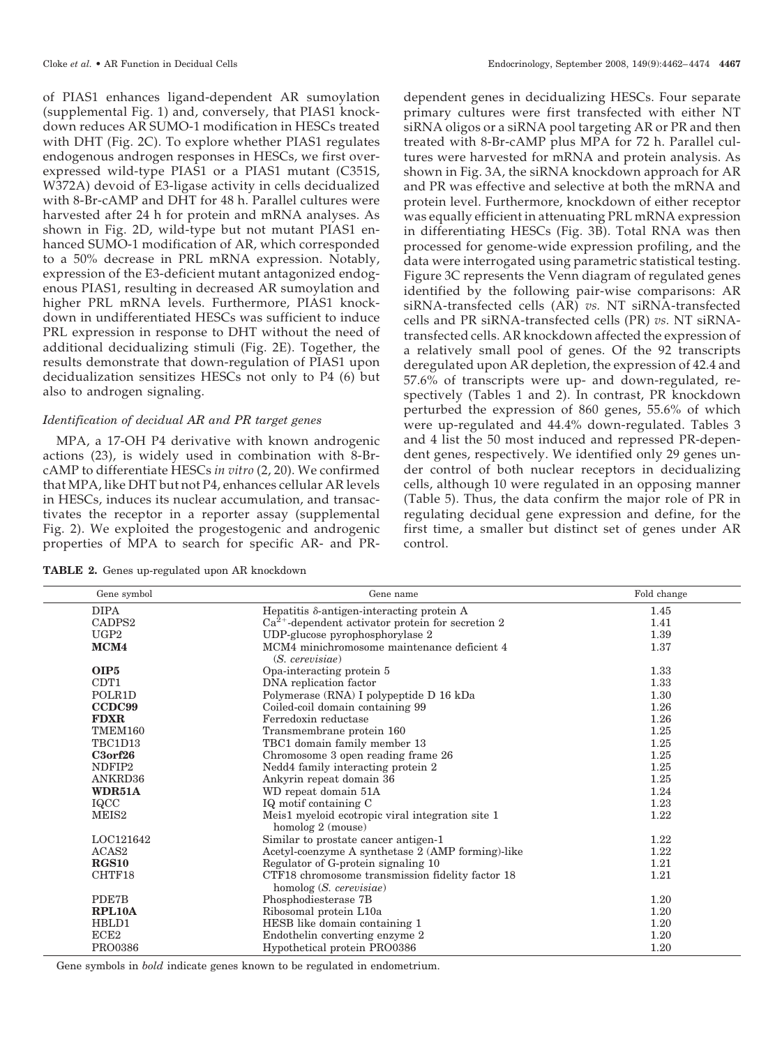of PIAS1 enhances ligand-dependent AR sumoylation (supplemental Fig. 1) and, conversely, that PIAS1 knockdown reduces AR SUMO-1 modification in HESCs treated with DHT (Fig. 2C). To explore whether PIAS1 regulates endogenous androgen responses in HESCs, we first overexpressed wild-type PIAS1 or a PIAS1 mutant (C351S, W372A) devoid of E3-ligase activity in cells decidualized with 8-Br-cAMP and DHT for 48 h. Parallel cultures were harvested after 24 h for protein and mRNA analyses. As shown in Fig. 2D, wild-type but not mutant PIAS1 enhanced SUMO-1 modification of AR, which corresponded to a 50% decrease in PRL mRNA expression. Notably, expression of the E3-deficient mutant antagonized endogenous PIAS1, resulting in decreased AR sumoylation and higher PRL mRNA levels. Furthermore, PIAS1 knockdown in undifferentiated HESCs was sufficient to induce PRL expression in response to DHT without the need of additional decidualizing stimuli (Fig. 2E). Together, the results demonstrate that down-regulation of PIAS1 upon decidualization sensitizes HESCs not only to P4 (6) but also to androgen signaling.

## *Identification of decidual AR and PR target genes*

MPA, a 17-OH P4 derivative with known androgenic actions (23), is widely used in combination with 8-BrcAMP to differentiate HESCs *in vitro* (2, 20). We confirmed that MPA, like DHT but not P4, enhances cellular AR levels in HESCs, induces its nuclear accumulation, and transactivates the receptor in a reporter assay (supplemental Fig. 2). We exploited the progestogenic and androgenic properties of MPA to search for specific AR- and PR-

dependent genes in decidualizing HESCs. Four separate primary cultures were first transfected with either NT siRNA oligos or a siRNA pool targeting AR or PR and then treated with 8-Br-cAMP plus MPA for 72 h. Parallel cultures were harvested for mRNA and protein analysis. As shown in Fig. 3A, the siRNA knockdown approach for AR and PR was effective and selective at both the mRNA and protein level. Furthermore, knockdown of either receptor was equally efficient in attenuating PRL mRNA expression in differentiating HESCs (Fig. 3B). Total RNA was then processed for genome-wide expression profiling, and the data were interrogated using parametric statistical testing. Figure 3C represents the Venn diagram of regulated genes identified by the following pair-wise comparisons: AR siRNA-transfected cells (AR) *vs.* NT siRNA-transfected cells and PR siRNA-transfected cells (PR) *vs.* NT siRNAtransfected cells. AR knockdown affected the expression of a relatively small pool of genes. Of the 92 transcripts deregulated upon AR depletion, the expression of 42.4 and 57.6% of transcripts were up- and down-regulated, respectively (Tables 1 and 2). In contrast, PR knockdown perturbed the expression of 860 genes, 55.6% of which were up-regulated and 44.4% down-regulated. Tables 3 and 4 list the 50 most induced and repressed PR-dependent genes, respectively. We identified only 29 genes under control of both nuclear receptors in decidualizing cells, although 10 were regulated in an opposing manner (Table 5). Thus, the data confirm the major role of PR in regulating decidual gene expression and define, for the first time, a smaller but distinct set of genes under AR control.

**TABLE 2.** Genes up-regulated upon AR knockdown

| Gene symbol        | Gene name                                           | Fold change |
|--------------------|-----------------------------------------------------|-------------|
| <b>DIPA</b>        | Hepatitis $\delta$ -antigen-interacting protein A   | 1.45        |
| CADPS <sub>2</sub> | $Ca2+$ -dependent activator protein for secretion 2 | 1.41        |
| UGP2               | UDP-glucose pyrophosphorylase 2                     | 1.39        |
| MCM4               | MCM4 minichromosome maintenance deficient 4         | 1.37        |
|                    | $(S.$ cerevisiae)                                   |             |
| OIP5               | Opa-interacting protein 5                           | 1.33        |
| CDT <sub>1</sub>   | DNA replication factor                              | 1.33        |
| POLR1D             | Polymerase (RNA) I polypeptide D 16 kDa             | 1.30        |
| CCDC99             | Coiled-coil domain containing 99                    | 1.26        |
| <b>FDXR</b>        | Ferredoxin reductase                                | 1.26        |
| TMEM160            | Transmembrane protein 160                           | 1.25        |
| TBC1D13            | TBC1 domain family member 13                        | 1.25        |
| $C3$ orf $26$      | Chromosome 3 open reading frame 26                  | 1.25        |
| NDFIP2             | Nedd4 family interacting protein 2                  | 1.25        |
| ANKRD36            | Ankyrin repeat domain 36                            | 1.25        |
| WDR51A             | WD repeat domain 51A                                | 1.24        |
| IQCC               | IQ motif containing C                               | 1.23        |
| MEIS <sub>2</sub>  | Meis1 myeloid ecotropic viral integration site 1    | 1.22        |
|                    | homolog 2 (mouse)                                   |             |
| LOC121642          | Similar to prostate cancer antigen-1                | 1.22        |
| ACAS <sub>2</sub>  | Acetyl-coenzyme A synthetase 2 (AMP forming)-like   | 1.22        |
| RGS10              | Regulator of G-protein signaling 10                 | 1.21        |
| CHTF18             | CTF18 chromosome transmission fidelity factor 18    | 1.21        |
|                    | homolog (S. cerevisiae)                             |             |
| PDE7B              | Phosphodiesterase 7B                                | 1.20        |
| <b>RPL10A</b>      | Ribosomal protein L10a                              | 1.20        |
| HBLD1              | HESB like domain containing 1                       | 1.20        |
| ECE2               | Endothelin converting enzyme 2                      | 1.20        |
| PRO0386            | Hypothetical protein PRO0386                        | 1.20        |

Gene symbols in *bold* indicate genes known to be regulated in endometrium.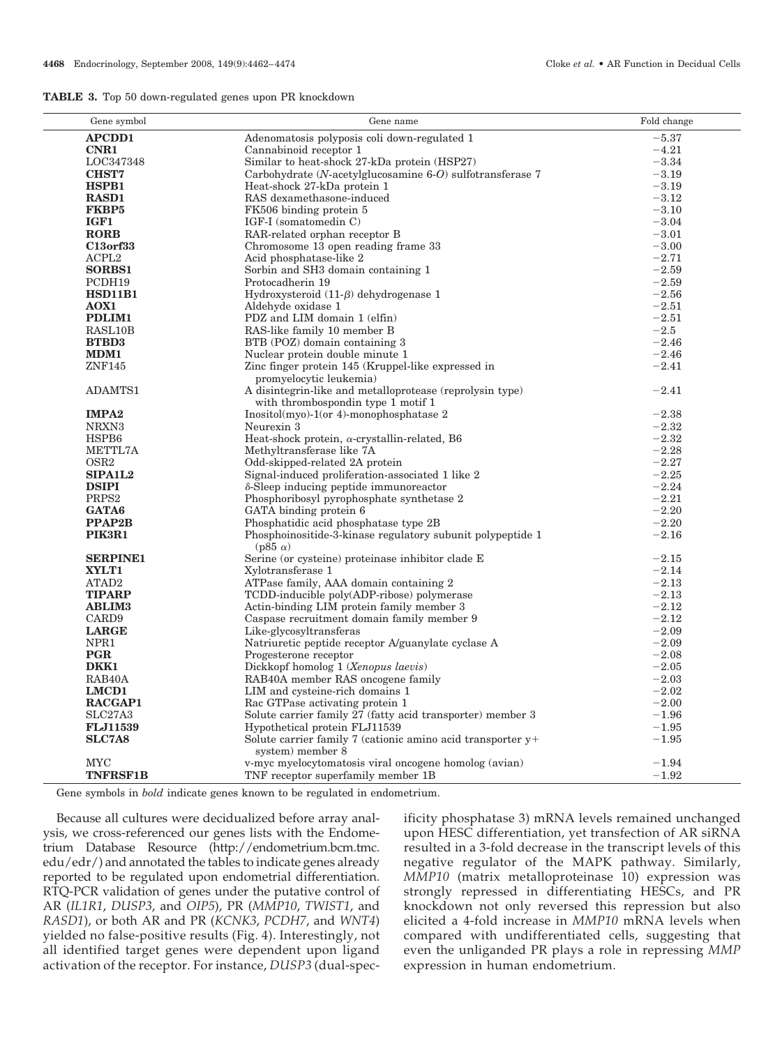|  |  |  |  | <b>TABLE 3.</b> Top 50 down-regulated genes upon PR knockdown |
|--|--|--|--|---------------------------------------------------------------|
|--|--|--|--|---------------------------------------------------------------|

| Gene symbol         | Gene name                                                                       | Fold change |
|---------------------|---------------------------------------------------------------------------------|-------------|
| <b>APCDD1</b>       | Adenomatosis polyposis coli down-regulated 1                                    | $-5.37$     |
| <b>CNR1</b>         | Cannabinoid receptor 1                                                          | $-4.21$     |
| LOC347348           | Similar to heat-shock 27-kDa protein (HSP27)                                    | $-3.34$     |
| <b>CHST7</b>        | Carbohydrate (N-acetylglucosamine 6-O) sulfotransferase 7                       | $-3.19$     |
| <b>HSPB1</b>        | Heat-shock 27-kDa protein 1                                                     | $-3.19$     |
| <b>RASD1</b>        | RAS dexamethasone-induced                                                       | $-3.12$     |
| <b>FKBP5</b>        | FK506 binding protein 5                                                         | $-3.10$     |
| IGF1                | IGF-I (somatomedin C)                                                           | $-3.04$     |
| <b>RORB</b>         | RAR-related orphan receptor B                                                   | $-3.01$     |
| <b>C13orf33</b>     | Chromosome 13 open reading frame 33                                             | $-3.00$     |
| ACPL <sub>2</sub>   | Acid phosphatase-like 2                                                         | $-2.71$     |
| <b>SORBS1</b>       | Sorbin and SH3 domain containing 1                                              | $-2.59$     |
| PCDH19              | Protocadherin 19                                                                | $-2.59$     |
| <b>HSD11B1</b>      | Hydroxysteroid $(11-\beta)$ dehydrogenase 1                                     | $-2.56$     |
| AOX1                | Aldehyde oxidase 1                                                              | $-2.51$     |
| PDLIM1              | PDZ and LIM domain 1 (elfin)                                                    | $-2.51$     |
| RASL10B             | RAS-like family 10 member B                                                     | $-2.5$      |
| <b>BTBD3</b>        | BTB (POZ) domain containing 3                                                   | $-2.46$     |
| MDM1                | Nuclear protein double minute 1                                                 | $-2.46$     |
| ZNF145              | Zinc finger protein 145 (Kruppel-like expressed in                              | $-2.41$     |
|                     | promyelocytic leukemia)                                                         |             |
| ADAMTS1             | A disintegrin-like and metalloprotease (reprolysin type)                        | $-2.41$     |
|                     | with thrombospondin type 1 motif 1                                              |             |
| <b>IMPA2</b>        | $Inositol(myo)-1 (or 4)-monophosphatase 2$                                      | $-2.38$     |
| NRXN <sub>3</sub>   | Neurexin 3                                                                      | $-2.32$     |
| HSPB6               | Heat-shock protein, $\alpha$ -crystallin-related, B6                            | $-2.32$     |
| METTL7A             | Methyltransferase like 7A                                                       | $-2.28$     |
| OSR <sub>2</sub>    | Odd-skipped-related 2A protein                                                  | $-2.27$     |
| <b>SIPA1L2</b>      | Signal-induced proliferation-associated 1 like 2                                | $-2.25$     |
| <b>DSIPI</b>        | δ-Sleep inducing peptide immunoreactor                                          | $-2.24$     |
| PRPS <sub>2</sub>   | Phosphoribosyl pyrophosphate synthetase 2                                       | $-2.21$     |
| GATA6               | GATA binding protein 6                                                          | $-2.20$     |
| PPAP2B              | Phosphatidic acid phosphatase type 2B                                           | $-2.20$     |
| PIK3R1              | Phosphoinositide-3-kinase regulatory subunit polypeptide 1<br>$(p85 \alpha)$    | $-2.16$     |
| <b>SERPINE1</b>     | Serine (or cysteine) proteinase inhibitor clade E                               | $-2.15$     |
| XYLT1               | Xylotransferase 1                                                               | $-2.14$     |
| ATAD2               | ATPase family, AAA domain containing 2                                          | $-2.13$     |
| <b>TIPARP</b>       | TCDD-inducible poly(ADP-ribose) polymerase                                      | $-2.13$     |
| <b>ABLIM3</b>       | Actin-binding LIM protein family member 3                                       | $-2.12$     |
| CARD9               | Caspase recruitment domain family member 9                                      | $-2.12$     |
| <b>LARGE</b>        | Like-glycosyltransferas                                                         | $-2.09$     |
| NPR1                | Natriuretic peptide receptor A/guanylate cyclase A                              | $-2.09$     |
| PGR                 | Progesterone receptor                                                           | $-2.08$     |
| DKK1                | Dickkopf homolog 1 (Xenopus laevis)                                             | $-2.05$     |
| RAB <sub>40</sub> A | RAB40A member RAS oncogene family                                               | $-2.03$     |
| LMCD1               | LIM and cysteine-rich domains 1                                                 | $-2.02$     |
| <b>RACGAP1</b>      | Rac GTPase activating protein 1                                                 | $-2.00$     |
| SLC27A3             | Solute carrier family 27 (fatty acid transporter) member 3                      | $-1.96$     |
| FLJ11539            | Hypothetical protein FLJ11539                                                   | $-1.95$     |
| <b>SLC7A8</b>       | Solute carrier family 7 (cationic amino acid transporter y+<br>system) member 8 | $-1.95$     |
| <b>MYC</b>          | v-myc myelocytomatosis viral oncogene homolog (avian)                           | $-1.94$     |
| <b>TNFRSF1B</b>     | TNF receptor superfamily member 1B                                              | $-1.92$     |

Gene symbols in *bold* indicate genes known to be regulated in endometrium.

Because all cultures were decidualized before array analysis, we cross-referenced our genes lists with the Endometrium Database Resource (http://endometrium.bcm.tmc. edu/edr/) and annotated the tables to indicate genes already reported to be regulated upon endometrial differentiation. RTQ-PCR validation of genes under the putative control of AR (*IL1R1*, *DUSP3*, and *OIP5*), PR (*MMP10*, *TWIST1*, and *RASD1*), or both AR and PR (*KCNK3*, *PCDH7*, and *WNT4*) yielded no false-positive results (Fig. 4). Interestingly, not all identified target genes were dependent upon ligand activation of the receptor. For instance, *DUSP3* (dual-spec-

ificity phosphatase 3) mRNA levels remained unchanged upon HESC differentiation, yet transfection of AR siRNA resulted in a 3-fold decrease in the transcript levels of this negative regulator of the MAPK pathway. Similarly, *MMP10* (matrix metalloproteinase 10) expression was strongly repressed in differentiating HESCs, and PR knockdown not only reversed this repression but also elicited a 4-fold increase in *MMP10* mRNA levels when compared with undifferentiated cells, suggesting that even the unliganded PR plays a role in repressing *MMP* expression in human endometrium.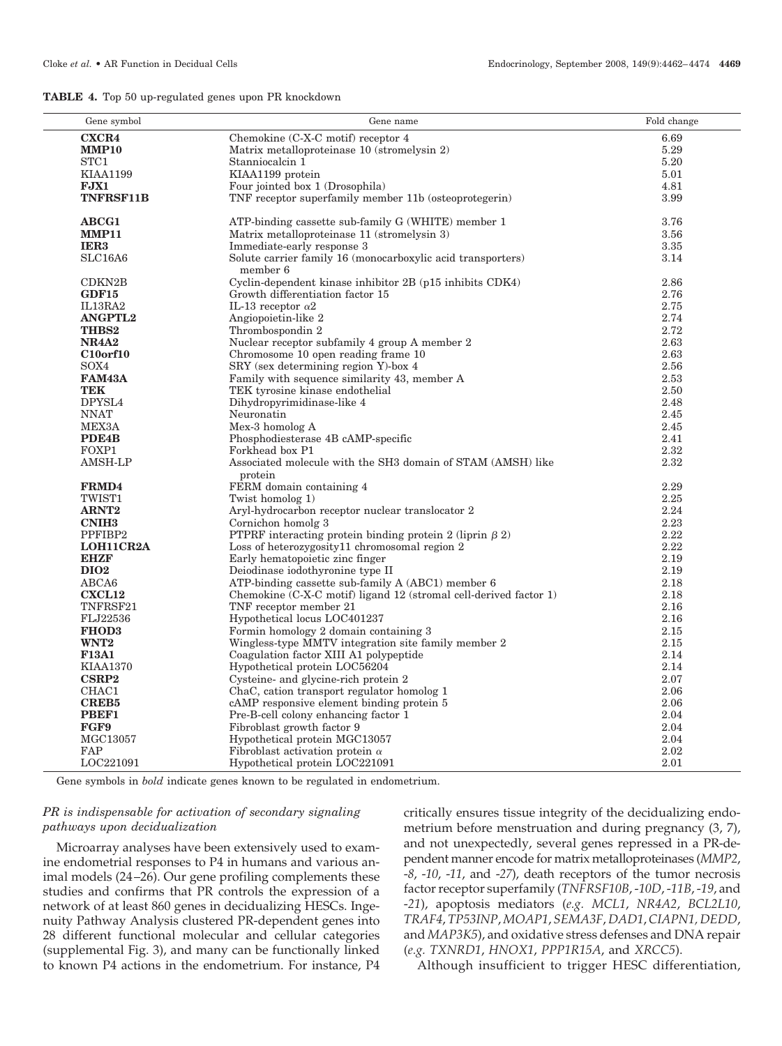|  |  |  |  | <b>TABLE 4.</b> Top 50 up-regulated genes upon PR knockdown |
|--|--|--|--|-------------------------------------------------------------|
|--|--|--|--|-------------------------------------------------------------|

| Gene symbol        | Gene name                                                               | Fold change |
|--------------------|-------------------------------------------------------------------------|-------------|
| <b>CXCR4</b>       | Chemokine (C-X-C motif) receptor 4                                      | 6.69        |
| <b>MMP10</b>       | Matrix metalloproteinase 10 (stromelysin 2)                             | 5.29        |
| STC1               | Stanniocalcin 1                                                         | 5.20        |
| <b>KIAA1199</b>    | KIAA1199 protein                                                        | 5.01        |
| FJX1               | Four jointed box 1 (Drosophila)                                         | 4.81        |
| <b>TNFRSF11B</b>   | TNF receptor superfamily member 11b (osteoprotegerin)                   | 3.99        |
|                    |                                                                         |             |
| <b>ABCG1</b>       | ATP-binding cassette sub-family G (WHITE) member 1                      | 3.76        |
| <b>MMP11</b>       | Matrix metalloproteinase 11 (stromelysin 3)                             | 3.56        |
| IER <sub>3</sub>   | Immediate-early response 3                                              | 3.35        |
| SLC16A6            | Solute carrier family 16 (monocarboxylic acid transporters)<br>member 6 | 3.14        |
| CDKN2B             | Cyclin-dependent kinase inhibitor 2B (p15 inhibits CDK4)                | 2.86        |
| GDF15              | Growth differentiation factor 15                                        | 2.76        |
| IL13RA2            | IL-13 receptor $\alpha$ 2                                               | 2.75        |
| <b>ANGPTL2</b>     | Angiopoietin-like 2                                                     | 2.74        |
| <b>THBS2</b>       | Thrombospondin 2                                                        | 2.72        |
| <b>NR4A2</b>       | Nuclear receptor subfamily 4 group A member 2                           | 2.63        |
| <b>C10orf10</b>    | Chromosome 10 open reading frame 10                                     | 2.63        |
| SOX4               | SRY (sex determining region Y)-box 4                                    | 2.56        |
| FAM43A             | Family with sequence similarity 43, member A                            | 2.53        |
| <b>TEK</b>         | TEK tyrosine kinase endothelial                                         | 2.50        |
| DPYSL4             | Dihydropyrimidinase-like 4                                              | 2.48        |
| <b>NNAT</b>        | Neuronatin                                                              | 2.45        |
| MEX3A              | Mex-3 homolog A                                                         | 2.45        |
| PDE <sub>4</sub> B | Phosphodiesterase 4B cAMP-specific                                      | 2.41        |
| FOXP1              | Forkhead box P1                                                         | 2.32        |
| AMSH-LP            | Associated molecule with the SH3 domain of STAM (AMSH) like<br>protein  | 2.32        |
| FRMD4              | FERM domain containing 4                                                | 2.29        |
| TWIST1             | Twist homolog 1)                                                        | 2.25        |
| <b>ARNT2</b>       | Aryl-hydrocarbon receptor nuclear translocator 2                        | 2.24        |
| <b>CNIH3</b>       | Cornichon homolg 3                                                      | 2.23        |
| PPFIBP2            | PTPRF interacting protein binding protein 2 (liprin $\beta$ 2)          | 2.22        |
| LOH11CR2A          | Loss of heterozygosity11 chromosomal region 2                           | 2.22        |
| EHZF               | Early hematopoietic zinc finger                                         | 2.19        |
| <b>DIO2</b>        | Deiodinase iodothyronine type II                                        | 2.19        |
| ABCA6              | ATP-binding cassette sub-family A (ABC1) member 6                       | 2.18        |
| <b>CXCL12</b>      | Chemokine (C-X-C motif) ligand 12 (stromal cell-derived factor 1)       | 2.18        |
| TNFRSF21           | TNF receptor member 21                                                  | 2.16        |
| FLJ22536           | Hypothetical locus LOC401237                                            | 2.16        |
| <b>FHOD3</b>       | Formin homology 2 domain containing 3                                   | 2.15        |
| WNT <sub>2</sub>   | Wingless-type MMTV integration site family member 2                     | 2.15        |
| <b>F13A1</b>       | Coagulation factor XIII A1 polypeptide                                  | 2.14        |
| <b>KIAA1370</b>    | Hypothetical protein LOC56204                                           | 2.14        |
| <b>CSRP2</b>       | Cysteine- and glycine-rich protein 2                                    | 2.07        |
| CHAC1              | ChaC, cation transport regulator homolog 1                              | 2.06        |
| <b>CREB5</b>       | cAMP responsive element binding protein 5                               | 2.06        |
| PBEF1              | Pre-B-cell colony enhancing factor 1                                    | 2.04        |
| FGF9               | Fibroblast growth factor 9                                              | 2.04        |
| $\rm MGC13057$     | Hypothetical protein MGC13057                                           | 2.04        |
| FAP                | Fibroblast activation protein $\alpha$                                  | 2.02        |
| LOC221091          | Hypothetical protein LOC221091                                          | 2.01        |

Gene symbols in *bold* indicate genes known to be regulated in endometrium.

## *PR is indispensable for activation of secondary signaling pathways upon decidualization*

Microarray analyses have been extensively used to examine endometrial responses to P4 in humans and various animal models (24 –26). Our gene profiling complements these studies and confirms that PR controls the expression of a network of at least 860 genes in decidualizing HESCs. Ingenuity Pathway Analysis clustered PR-dependent genes into 28 different functional molecular and cellular categories (supplemental Fig. 3), and many can be functionally linked to known P4 actions in the endometrium. For instance, P4

critically ensures tissue integrity of the decidualizing endometrium before menstruation and during pregnancy (3, 7), and not unexpectedly, several genes repressed in a PR-dependent manner encode for matrix metalloproteinases (*MMP2*, -*8*, -*10*, -*11*, and -*27*), death receptors of the tumor necrosis factor receptor superfamily (*TNFRSF10B*, -*10D*, -*11B*, -*19*, and -*21*), apoptosis mediators (*e.g. MCL1*, *NR4A2*, *BCL2L10*, *TRAF4*, *TP53INP*, *MOAP1*, *SEMA3F*, *DAD1*, *CIAPN1, DEDD*, and *MAP3K5*), and oxidative stress defenses and DNA repair (*e.g. TXNRD1*, *HNOX1*, *PPP1R15A*, and *XRCC5*).

Although insufficient to trigger HESC differentiation,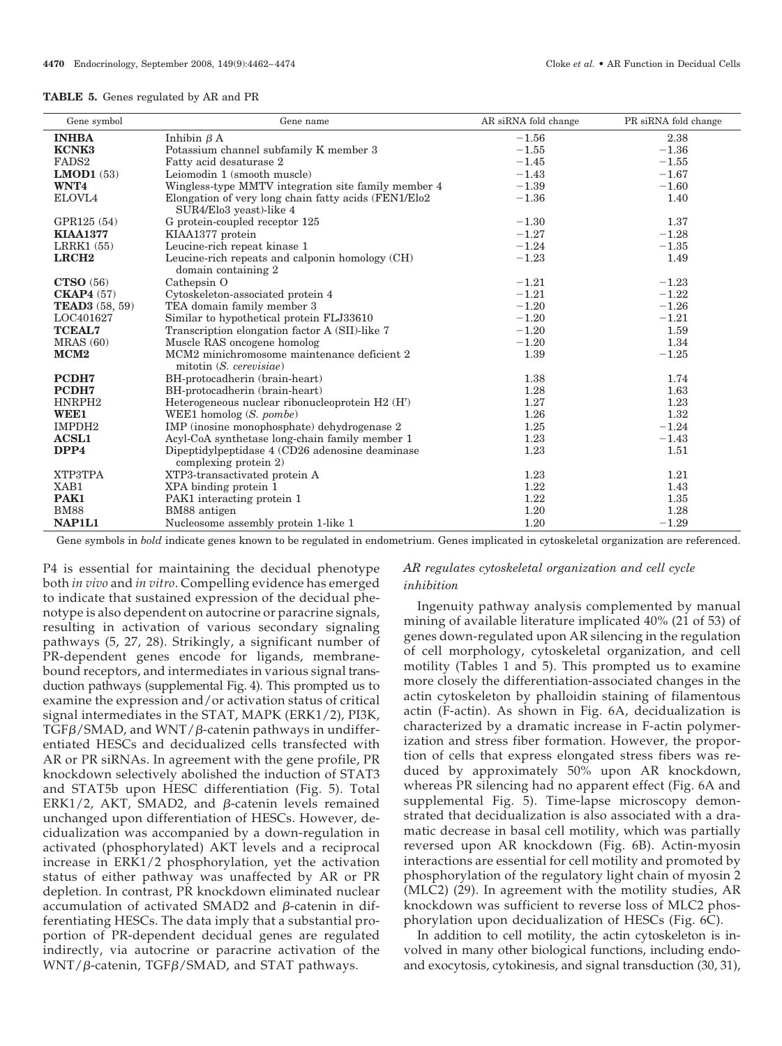|  |  |  | <b>TABLE 5.</b> Genes regulated by AR and PR |  |  |  |  |
|--|--|--|----------------------------------------------|--|--|--|--|
|--|--|--|----------------------------------------------|--|--|--|--|

| Gene symbol           | Gene name                                             | AR siRNA fold change | PR siRNA fold change |
|-----------------------|-------------------------------------------------------|----------------------|----------------------|
| <b>INHBA</b>          | Inhibin $\beta$ A                                     | $-1.56$              | 2.38                 |
| <b>KCNK3</b>          | Potassium channel subfamily K member 3                | $-1.55$              | $-1.36$              |
| FADS <sub>2</sub>     | Fatty acid desaturase 2                               | $-1.45$              | $-1.55$              |
| <b>LMOD1</b> $(53)$   | Leiomodin 1 (smooth muscle)                           | $-1.43$              | $-1.67$              |
| WNT4                  | Wingless-type MMTV integration site family member 4   | $-1.39$              | $-1.60$              |
| ELOVL4                | Elongation of very long chain fatty acids (FEN1/Elo2) | $-1.36$              | 1.40                 |
|                       | SUR4/Elo3 yeast)-like 4                               |                      |                      |
| GPR125 (54)           | G protein-coupled receptor 125                        | $-1.30$              | 1.37                 |
| <b>KIAA1377</b>       | KIAA1377 protein                                      | $-1.27$              | $-1.28$              |
| LRRK1(55)             | Leucine-rich repeat kinase 1                          | $-1.24$              | $-1.35$              |
| LRCH <sub>2</sub>     | Leucine-rich repeats and calponin homology (CH)       | $-1.23$              | 1.49                 |
|                       | domain containing 2                                   |                      |                      |
| <b>CTSO</b> (56)      | Cathepsin O                                           | $-1.21$              | $-1.23$              |
| CKAP4(57)             | Cytoskeleton-associated protein 4                     | $-1.21$              | $-1.22$              |
| <b>TEAD3</b> (58, 59) | TEA domain family member 3                            | $-1.20$              | $-1.26$              |
| LOC401627             | Similar to hypothetical protein FLJ33610              | $-1.20$              | $-1.21$              |
| <b>TCEAL7</b>         | Transcription elongation factor A (SII)-like 7        | $-1.20$              | 1.59                 |
| MRAS(60)              | Muscle RAS oncogene homolog                           | $-1.20$              | 1.34                 |
| MCM <sub>2</sub>      | MCM2 minichromosome maintenance deficient 2           | 1.39                 | $-1.25$              |
|                       | mitotin (S. cerevisiae)                               |                      |                      |
| PCDH7                 | BH-protocadherin (brain-heart)                        | 1.38                 | 1.74                 |
| PCDH7                 | BH-protocadherin (brain-heart)                        | 1.28                 | 1.63                 |
| HNRPH <sub>2</sub>    | Heterogeneous nuclear ribonucleoprotein $H2(H)$       | 1.27                 | 1.23                 |
| WEE1                  | WEE1 homolog $(S. pombe)$                             | 1.26                 | 1.32                 |
| IMPDH <sub>2</sub>    | IMP (inosine monophosphate) dehydrogenase 2           | 1.25                 | $-1.24$              |
| <b>ACSL1</b>          | Acyl-CoA synthetase long-chain family member 1        | 1.23                 | $-1.43$              |
| DPP4                  | Dipeptidylpeptidase 4 (CD26 adenosine deaminase)      | 1.23                 | 1.51                 |
|                       | complexing protein $2$ )                              |                      |                      |
| XTP3TPA               | XTP3-transactivated protein A                         | 1.23                 | 1.21                 |
| XAB1                  | XPA binding protein 1                                 | 1.22                 | 1.43                 |
| PAK1                  | PAK1 interacting protein 1                            | 1.22                 | 1.35                 |
| <b>BM88</b>           | BM88 antigen                                          | 1.20                 | 1.28                 |
| NAP1L1                | Nucleosome assembly protein 1-like 1                  | 1.20                 | $-1.29$              |

Gene symbols in *bold* indicate genes known to be regulated in endometrium. Genes implicated in cytoskeletal organization are referenced.

P4 is essential for maintaining the decidual phenotype both *in vivo* and *in vitro*. Compelling evidence has emerged to indicate that sustained expression of the decidual phenotype is also dependent on autocrine or paracrine signals, resulting in activation of various secondary signaling pathways (5, 27, 28). Strikingly, a significant number of PR-dependent genes encode for ligands, membranebound receptors, and intermediates in various signal transduction pathways (supplemental Fig. 4). This prompted us to examine the expression and/or activation status of critical signal intermediates in the STAT, MAPK (ERK1/2), PI3K, TGF $\beta$ /SMAD, and WNT/ $\beta$ -catenin pathways in undifferentiated HESCs and decidualized cells transfected with AR or PR siRNAs. In agreement with the gene profile, PR knockdown selectively abolished the induction of STAT3 and STAT5b upon HESC differentiation (Fig. 5). Total ERK1/2, AKT, SMAD2, and β-catenin levels remained unchanged upon differentiation of HESCs. However, decidualization was accompanied by a down-regulation in activated (phosphorylated) AKT levels and a reciprocal increase in ERK1/2 phosphorylation, yet the activation status of either pathway was unaffected by AR or PR depletion. In contrast, PR knockdown eliminated nuclear accumulation of activated SMAD2 and  $\beta$ -catenin in differentiating HESCs. The data imply that a substantial proportion of PR-dependent decidual genes are regulated indirectly, via autocrine or paracrine activation of the WNT/β-catenin, TGFβ/SMAD, and STAT pathways.

# *AR regulates cytoskeletal organization and cell cycle inhibition*

Ingenuity pathway analysis complemented by manual mining of available literature implicated 40% (21 of 53) of genes down-regulated upon AR silencing in the regulation of cell morphology, cytoskeletal organization, and cell motility (Tables 1 and 5). This prompted us to examine more closely the differentiation-associated changes in the actin cytoskeleton by phalloidin staining of filamentous actin (F-actin). As shown in Fig. 6A, decidualization is characterized by a dramatic increase in F-actin polymerization and stress fiber formation. However, the proportion of cells that express elongated stress fibers was reduced by approximately 50% upon AR knockdown, whereas PR silencing had no apparent effect (Fig. 6A and supplemental Fig. 5). Time-lapse microscopy demonstrated that decidualization is also associated with a dramatic decrease in basal cell motility, which was partially reversed upon AR knockdown (Fig. 6B). Actin-myosin interactions are essential for cell motility and promoted by phosphorylation of the regulatory light chain of myosin 2 (MLC2) (29). In agreement with the motility studies, AR knockdown was sufficient to reverse loss of MLC2 phosphorylation upon decidualization of HESCs (Fig. 6C).

In addition to cell motility, the actin cytoskeleton is involved in many other biological functions, including endoand exocytosis, cytokinesis, and signal transduction (30, 31),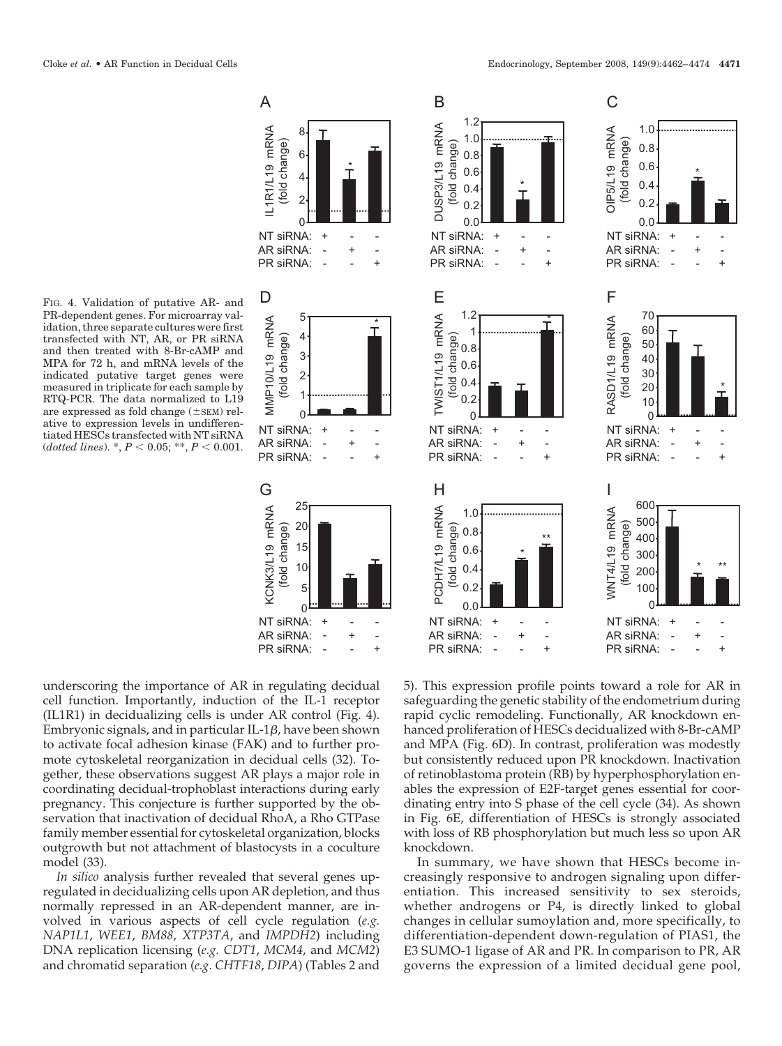FIG. 4. Validation of putative AR- and PR-dependent genes. For microarray validation, three separate cultures were first transfected with NT, AR, or PR siRNA and then treated with 8-Br-cAMP and MPA for 72 h, and mRNA levels of the indicated putative target genes were measured in triplicate for each sample by RTQ-PCR. The data normalized to L19 are expressed as fold change  $(\pm sEM)$  relative to expression levels in undifferentiated HESCs transfected with NT siRNA  $(dotted\ lines)$ .  $*$ ,  $P < 0.05$ ;  $**$ ,  $P < 0.001$ .



underscoring the importance of AR in regulating decidual cell function. Importantly, induction of the IL-1 receptor (IL1R1) in decidualizing cells is under AR control (Fig. 4). Embryonic signals, and in particular IL-1 $\beta$ , have been shown to activate focal adhesion kinase (FAK) and to further promote cytoskeletal reorganization in decidual cells (32). Together, these observations suggest AR plays a major role in coordinating decidual-trophoblast interactions during early pregnancy. This conjecture is further supported by the observation that inactivation of decidual RhoA, a Rho GTPase family member essential for cytoskeletal organization, blocks outgrowth but not attachment of blastocysts in a coculture model (33).

*In silico* analysis further revealed that several genes upregulated in decidualizing cells upon AR depletion, and thus normally repressed in an AR-dependent manner, are involved in various aspects of cell cycle regulation (*e.g. NAP1L1*, *WEE1*, *BM88*, *XTP3TA*, and *IMPDH2*) including DNA replication licensing (*e.g. CDT1*, *MCM4*, and *MCM2*) and chromatid separation (*e.g. CHTF18*, *DIPA*) (Tables 2 and

5). This expression profile points toward a role for AR in safeguarding the genetic stability of the endometrium during rapid cyclic remodeling. Functionally, AR knockdown enhanced proliferation of HESCs decidualized with 8-Br-cAMP and MPA (Fig. 6D). In contrast, proliferation was modestly but consistently reduced upon PR knockdown. Inactivation of retinoblastoma protein (RB) by hyperphosphorylation enables the expression of E2F-target genes essential for coordinating entry into S phase of the cell cycle (34). As shown in Fig. 6E, differentiation of HESCs is strongly associated with loss of RB phosphorylation but much less so upon AR knockdown.

In summary, we have shown that HESCs become increasingly responsive to androgen signaling upon differentiation. This increased sensitivity to sex steroids, whether androgens or P4, is directly linked to global changes in cellular sumoylation and, more specifically, to differentiation-dependent down-regulation of PIAS1, the E3 SUMO-1 ligase of AR and PR. In comparison to PR, AR governs the expression of a limited decidual gene pool,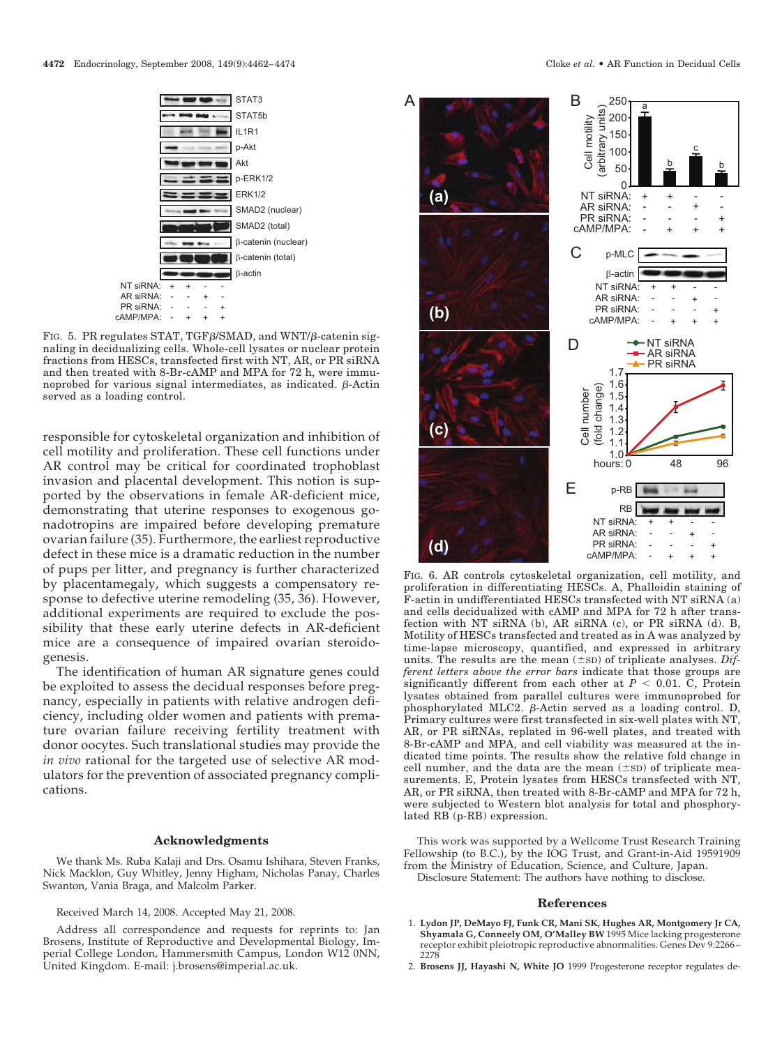

FIG. 5. PR regulates STAT, TGF $\beta$ /SMAD, and WNT/ $\beta$ -catenin signaling in decidualizing cells. Whole-cell lysates or nuclear protein fractions from HESCs, transfected first with NT, AR, or PR siRNA and then treated with 8-Br-cAMP and MPA for 72 h, were immunoprobed for various signal intermediates, as indicated.  $\beta$ -Actin served as a loading control.

responsible for cytoskeletal organization and inhibition of cell motility and proliferation. These cell functions under AR control may be critical for coordinated trophoblast invasion and placental development. This notion is supported by the observations in female AR-deficient mice, demonstrating that uterine responses to exogenous gonadotropins are impaired before developing premature ovarian failure (35). Furthermore, the earliest reproductive defect in these mice is a dramatic reduction in the number of pups per litter, and pregnancy is further characterized by placentamegaly, which suggests a compensatory response to defective uterine remodeling (35, 36). However, additional experiments are required to exclude the possibility that these early uterine defects in AR-deficient mice are a consequence of impaired ovarian steroidogenesis.

The identification of human AR signature genes could be exploited to assess the decidual responses before pregnancy, especially in patients with relative androgen deficiency, including older women and patients with premature ovarian failure receiving fertility treatment with donor oocytes. Such translational studies may provide the *in vivo* rational for the targeted use of selective AR modulators for the prevention of associated pregnancy complications.

#### **Acknowledgments**

We thank Ms. Ruba Kalaji and Drs. Osamu Ishihara, Steven Franks, Nick Macklon, Guy Whitley, Jenny Higham, Nicholas Panay, Charles Swanton, Vania Braga, and Malcolm Parker.

Received March 14, 2008. Accepted May 21, 2008.

Address all correspondence and requests for reprints to: Jan Brosens, Institute of Reproductive and Developmental Biology, Imperial College London, Hammersmith Campus, London W12 0NN, United Kingdom. E-mail: j.brosens@imperial.ac.uk.



FIG. 6. AR controls cytoskeletal organization, cell motility, and proliferation in differentiating HESCs. A, Phalloidin staining of F-actin in undifferentiated HESCs transfected with NT siRNA (a) and cells decidualized with cAMP and MPA for 72 h after transfection with NT siRNA (b), AR siRNA (c), or PR siRNA (d). B, Motility of HESCs transfected and treated as in A was analyzed by time-lapse microscopy, quantified, and expressed in arbitrary units. The results are the mean  $(\pm s_D)$  of triplicate analyses. *Different letters above the error bars* indicate that those groups are significantly different from each other at  $P < 0.01$ . C, Protein lysates obtained from parallel cultures were immunoprobed for phosphorylated MLC2.  $\beta$ -Actin served as a loading control. D, Primary cultures were first transfected in six-well plates with NT, AR, or PR siRNAs, replated in 96-well plates, and treated with 8-Br-cAMP and MPA, and cell viability was measured at the indicated time points. The results show the relative fold change in cell number, and the data are the mean  $(\pm sD)$  of triplicate measurements. E, Protein lysates from HESCs transfected with NT, AR, or PR siRNA, then treated with 8-Br-cAMP and MPA for 72 h, were subjected to Western blot analysis for total and phosphorylated RB (p-RB) expression.

This work was supported by a Wellcome Trust Research Training Fellowship (to B.C.), by the IOG Trust, and Grant-in-Aid 19591909 from the Ministry of Education, Science, and Culture, Japan. Disclosure Statement: The authors have nothing to disclose.

## **References**

- 1. **Lydon JP, DeMayo FJ, Funk CR, Mani SK, Hughes AR, Montgomery Jr CA, Shyamala G, Conneely OM, O'Malley BW** 1995 Mice lacking progesterone receptor exhibit pleiotropic reproductive abnormalities. Genes Dev 9:2266 – 2278
- 2. **Brosens JJ, Hayashi N, White JO** 1999 Progesterone receptor regulates de-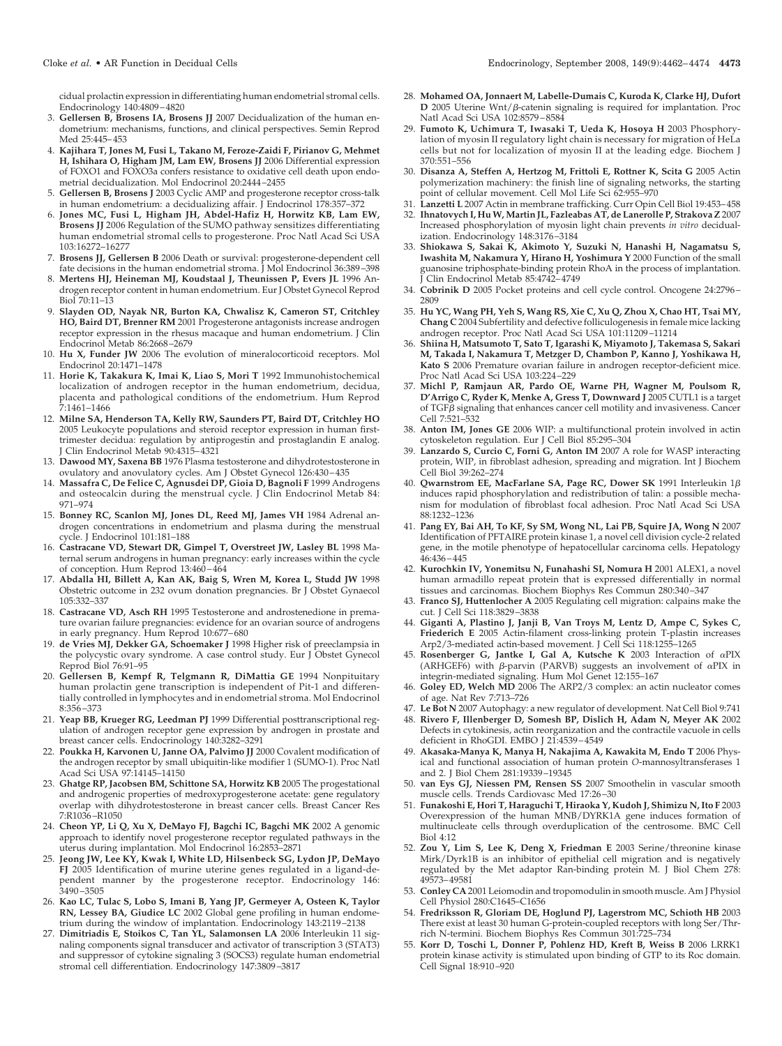cidual prolactin expression in differentiating human endometrial stromal cells. Endocrinology 140:4809 – 4820

- 3. **Gellersen B, Brosens IA, Brosens JJ** 2007 Decidualization of the human endometrium: mechanisms, functions, and clinical perspectives. Semin Reprod Med 25:445– 453
- 4. **Kajihara T, Jones M, Fusi L, Takano M, Feroze-Zaidi F, Pirianov G, Mehmet H, Ishihara O, Higham JM, Lam EW, Brosens JJ** 2006 Differential expression of FOXO1 and FOXO3a confers resistance to oxidative cell death upon endometrial decidualization. Mol Endocrinol 20:2444 –2455
- 5. **Gellersen B, Brosens J** 2003 Cyclic AMP and progesterone receptor cross-talk in human endometrium: a decidualizing affair. J Endocrinol 178:357–372
- 6. **Jones MC, Fusi L, Higham JH, Abdel-Hafiz H, Horwitz KB, Lam EW, Brosens JJ** 2006 Regulation of the SUMO pathway sensitizes differentiating human endometrial stromal cells to progesterone. Proc Natl Acad Sci USA 103:16272–16277
- 7. **Brosens JJ, Gellersen B** 2006 Death or survival: progesterone-dependent cell fate decisions in the human endometrial stroma. J Mol Endocrinol 36:389 –398
- 8. **Mertens HJ, Heineman MJ, Koudstaal J, Theunissen P, Evers JL** 1996 Androgen receptor content in human endometrium. Eur J Obstet Gynecol Reprod Biol 70:11–13
- 9. **Slayden OD, Nayak NR, Burton KA, Chwalisz K, Cameron ST, Critchley HO, Baird DT, Brenner RM** 2001 Progesterone antagonists increase androgen receptor expression in the rhesus macaque and human endometrium. J Clin Endocrinol Metab 86:2668 –2679
- 10. **Hu X, Funder JW** 2006 The evolution of mineralocorticoid receptors. Mol Endocrinol 20:1471–1478
- 11. **Horie K, Takakura K, Imai K, Liao S, Mori T** 1992 Immunohistochemical localization of androgen receptor in the human endometrium, decidua, placenta and pathological conditions of the endometrium. Hum Reprod 7:1461–1466
- 12. **Milne SA, Henderson TA, Kelly RW, Saunders PT, Baird DT, Critchley HO** 2005 Leukocyte populations and steroid receptor expression in human firsttrimester decidua: regulation by antiprogestin and prostaglandin E analog. J Clin Endocrinol Metab 90:4315– 4321
- 13. **Dawood MY, Saxena BB** 1976 Plasma testosterone and dihydrotestosterone in ovulatory and anovulatory cycles. Am J Obstet Gynecol 126:430 – 435
- 14. **Massafra C, De Felice C, Agnusdei DP, Gioia D, Bagnoli F** 1999 Androgens and osteocalcin during the menstrual cycle. J Clin Endocrinol Metab 84: 971–974
- 15. **Bonney RC, Scanlon MJ, Jones DL, Reed MJ, James VH** 1984 Adrenal androgen concentrations in endometrium and plasma during the menstrual cycle. J Endocrinol 101:181–188
- 16. **Castracane VD, Stewart DR, Gimpel T, Overstreet JW, Lasley BL** 1998 Maternal serum androgens in human pregnancy: early increases within the cycle of conception. Hum Reprod 13:460 – 464
- 17. **Abdalla HI, Billett A, Kan AK, Baig S, Wren M, Korea L, Studd JW** 1998 Obstetric outcome in 232 ovum donation pregnancies. Br J Obstet Gynaecol 105:332–337
- 18. **Castracane VD, Asch RH** 1995 Testosterone and androstenedione in premature ovarian failure pregnancies: evidence for an ovarian source of androgens in early pregnancy. Hum Reprod 10:677-680
- 19. **de Vries MJ, Dekker GA, Schoemaker J** 1998 Higher risk of preeclampsia in the polycystic ovary syndrome. A case control study. Eur J Obstet Gynecol Reprod Biol 76:91–95
- 20. **Gellersen B, Kempf R, Telgmann R, DiMattia GE** 1994 Nonpituitary human prolactin gene transcription is independent of Pit-1 and differentially controlled in lymphocytes and in endometrial stroma. Mol Endocrinol 8:356 –373
- 21. **Yeap BB, Krueger RG, Leedman PJ** 1999 Differential posttranscriptional regulation of androgen receptor gene expression by androgen in prostate and breast cancer cells. Endocrinology 140:3282–3291
- 22. **Poukka H, Karvonen U, Janne OA, Palvimo JJ** 2000 Covalent modification of the androgen receptor by small ubiquitin-like modifier 1 (SUMO-1). Proc Natl Acad Sci USA 97:14145–14150
- 23. **Ghatge RP, Jacobsen BM, Schittone SA, Horwitz KB** 2005 The progestational and androgenic properties of medroxyprogesterone acetate: gene regulatory overlap with dihydrotestosterone in breast cancer cells. Breast Cancer Res 7:R1036 –R1050
- 24. **Cheon YP, Li Q, Xu X, DeMayo FJ, Bagchi IC, Bagchi MK** 2002 A genomic approach to identify novel progesterone receptor regulated pathways in the uterus during implantation. Mol Endocrinol 16:2853–2871
- 25. **Jeong JW, Lee KY, Kwak I, White LD, Hilsenbeck SG, Lydon JP, DeMayo FJ** 2005 Identification of murine uterine genes regulated in a ligand-dependent manner by the progesterone receptor. Endocrinology 146: 3490 –3505
- 26. **Kao LC, Tulac S, Lobo S, Imani B, Yang JP, Germeyer A, Osteen K, Taylor RN, Lessey BA, Giudice LC** 2002 Global gene profiling in human endometrium during the window of implantation. Endocrinology 143:2119 –2138
- 27. **Dimitriadis E, Stoikos C, Tan YL, Salamonsen LA** 2006 Interleukin 11 signaling components signal transducer and activator of transcription 3 (STAT3) and suppressor of cytokine signaling 3 (SOCS3) regulate human endometrial stromal cell differentiation. Endocrinology 147:3809 –3817
- 28. **Mohamed OA, Jonnaert M, Labelle-Dumais C, Kuroda K, Clarke HJ, Dufort D** 2005 Uterine Wnt/ $\beta$ -catenin signaling is required for implantation. Proc Natl Acad Sci USA 102:8579 – 8584
- 29. **Fumoto K, Uchimura T, Iwasaki T, Ueda K, Hosoya H** 2003 Phosphorylation of myosin II regulatory light chain is necessary for migration of HeLa cells but not for localization of myosin II at the leading edge. Biochem J 370:551–556
- 30. **Disanza A, Steffen A, Hertzog M, Frittoli E, Rottner K, Scita G** 2005 Actin polymerization machinery: the finish line of signaling networks, the starting point of cellular movement. Cell Mol Life Sci 62:955–970
- 31. **Lanzetti L** 2007 Actin in membrane trafficking. Curr Opin Cell Biol 19:453– 458
- 32. **Ihnatovych I, Hu W, Martin JL, Fazleabas AT, de Lanerolle P, Strakova Z** 2007 Increased phosphorylation of myosin light chain prevents *in vitro* decidualization. Endocrinology 148:3176 –3184
- 33. **Shiokawa S, Sakai K, Akimoto Y, Suzuki N, Hanashi H, Nagamatsu S, Iwashita M, Nakamura Y, Hirano H, Yoshimura Y** 2000 Function of the small guanosine triphosphate-binding protein RhoA in the process of implantation. Clin Endocrinol Metab 85:4742-4749
- 34. **Cobrinik D** 2005 Pocket proteins and cell cycle control. Oncogene 24:2796 2809
- 35. **Hu YC, Wang PH, Yeh S, Wang RS, Xie C, Xu Q, Zhou X, Chao HT, Tsai MY, Chang C** 2004 Subfertility and defective folliculogenesis in female mice lacking androgen receptor. Proc Natl Acad Sci USA 101:11209 –11214
- 36. **Shiina H, Matsumoto T, Sato T, Igarashi K, Miyamoto J, Takemasa S, Sakari M, Takada I, Nakamura T, Metzger D, Chambon P, Kanno J, Yoshikawa H, Kato S** 2006 Premature ovarian failure in androgen receptor-deficient mice. Proc Natl Acad Sci USA 103:224 –229
- 37. **Michl P, Ramjaun AR, Pardo OE, Warne PH, Wagner M, Poulsom R, D'Arrigo C, Ryder K, Menke A, Gress T, Downward J** 2005 CUTL1 is a target of TGF $\beta$  signaling that enhances cancer cell motility and invasiveness. Cancer Cell 7:521–532
- 38. **Anton IM, Jones GE** 2006 WIP: a multifunctional protein involved in actin cytoskeleton regulation. Eur J Cell Biol 85:295–304 39. **Lanzardo S, Curcio C, Forni G, Anton IM** 2007 A role for WASP interacting
- protein, WIP, in fibroblast adhesion, spreading and migration. Int J Biochem Cell Biol 39:262–274
- 40. **Qwarnstrom EE, MacFarlane SA, Page RC, Dower SK** 1991 Interleukin 1 induces rapid phosphorylation and redistribution of talin: a possible mechanism for modulation of fibroblast focal adhesion. Proc Natl Acad Sci USA 88:1232–1236
- 41. **Pang EY, Bai AH, To KF, Sy SM, Wong NL, Lai PB, Squire JA, Wong N** 2007 Identification of PFTAIRE protein kinase 1, a novel cell division cycle-2 related gene, in the motile phenotype of hepatocellular carcinoma cells. Hepatology 46:436 – 445
- 42. **Kurochkin IV, Yonemitsu N, Funahashi SI, Nomura H** 2001 ALEX1, a novel human armadillo repeat protein that is expressed differentially in normal tissues and carcinomas. Biochem Biophys Res Commun 280:340 –347
- 43. **Franco SJ, Huttenlocher A** 2005 Regulating cell migration: calpains make the cut. J Cell Sci 118:3829 –3838
- 44. **Giganti A, Plastino J, Janji B, Van Troys M, Lentz D, Ampe C, Sykes C, Friederich E** 2005 Actin-filament cross-linking protein T-plastin increases Arp2/3-mediated actin-based movement. J Cell Sci 118:1255–1265
- 45. Rosenberger G, Jantke I, Gal A, Kutsche K 2003 Interaction of  $\alpha$ PIX (ARHGEF6) with β-parvin (PARVB) suggests an involvement of  $\alpha {\rm PIX}$  in integrin-mediated signaling. Hum Mol Genet 12:155–167
- 46. **Goley ED, Welch MD** 2006 The ARP2/3 complex: an actin nucleator comes of age. Nat Rev 7:713–726
- 47. **Le Bot N** 2007 Autophagy: a new regulator of development. Nat Cell Biol 9:741
- 48. **Rivero F, Illenberger D, Somesh BP, Dislich H, Adam N, Meyer AK** 2002 Defects in cytokinesis, actin reorganization and the contractile vacuole in cells deficient in RhoGDI. EMBO J 21:4539-4549
- 49. **Akasaka-Manya K, Manya H, Nakajima A, Kawakita M, Endo T** 2006 Physical and functional association of human protein *O*-mannosyltransferases 1 and 2. J Biol Chem 281:19339 –19345
- 50. **van Eys GJ, Niessen PM, Rensen SS** 2007 Smoothelin in vascular smooth muscle cells. Trends Cardiovasc Med 17:26 –30
- 51. **Funakoshi E, Hori T, Haraguchi T, Hiraoka Y, Kudoh J, Shimizu N, Ito F** 2003 Overexpression of the human MNB/DYRK1A gene induces formation of multinucleate cells through overduplication of the centrosome. BMC Cell Biol 4:12
- 52. **Zou Y, Lim S, Lee K, Deng X, Friedman E** 2003 Serine/threonine kinase Mirk/Dyrk1B is an inhibitor of epithelial cell migration and is negatively regulated by the Met adaptor Ran-binding protein M. J Biol Chem 278: 49573– 49581
- 53. **Conley CA** 2001 Leiomodin and tropomodulin in smooth muscle. Am J Physiol Cell Physiol 280:C1645–C1656
- 54. **Fredriksson R, Gloriam DE, Hoglund PJ, Lagerstrom MC, Schioth HB** 2003 There exist at least 30 human G-protein-coupled receptors with long Ser/Thrrich N-termini. Biochem Biophys Res Commun 301:725–734
- 55. **Korr D, Toschi L, Donner P, Pohlenz HD, Kreft B, Weiss B** 2006 LRRK1 protein kinase activity is stimulated upon binding of GTP to its Roc domain. Cell Signal 18:910 –920